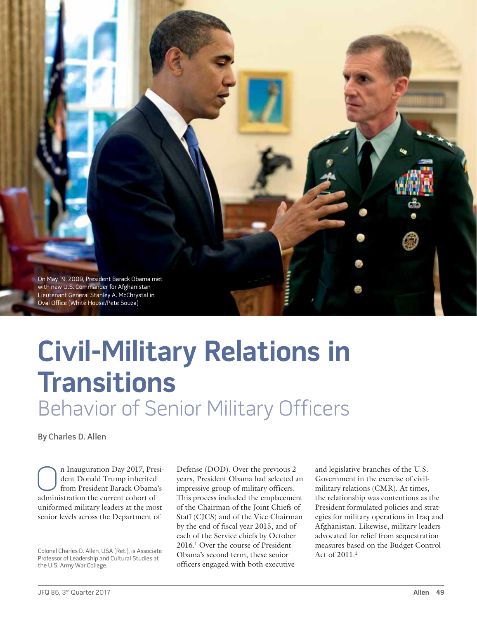

# **Civil-Military Relations in Transitions** Behavior of Senior Military Officers

By Charles D. Allen

n Inauguration Day 2017, President Donald Trump inherited from President Barack Obama's administration the current cohort of uniformed military leaders at the most senior levels across the Department of

Professor of Leadership and Cultural Studies at the U.S. Army War College.

Defense (DOD). Over the previous 2 years, President Obama had selected an impressive group of military officers. This process included the emplacement of the Chairman of the Joint Chiefs of Staff (CJCS) and of the Vice Chairman by the end of fiscal year 2015, and of each of the Service chiefs by October 2016.1 Over the course of President Colonel Charles D. Allen, USA (Ret.), is Associate<br>Professor of Laadership and Cultural Studies at **2008** Obama's second term, these senior Act of 2011.<sup>2</sup> officers engaged with both executive

and legislative branches of the U.S. Government in the exercise of civilmilitary relations (CMR). At times, the relationship was contentious as the President formulated policies and strategies for military operations in Iraq and Afghanistan. Likewise, military leaders advocated for relief from sequestration measures based on the Budget Control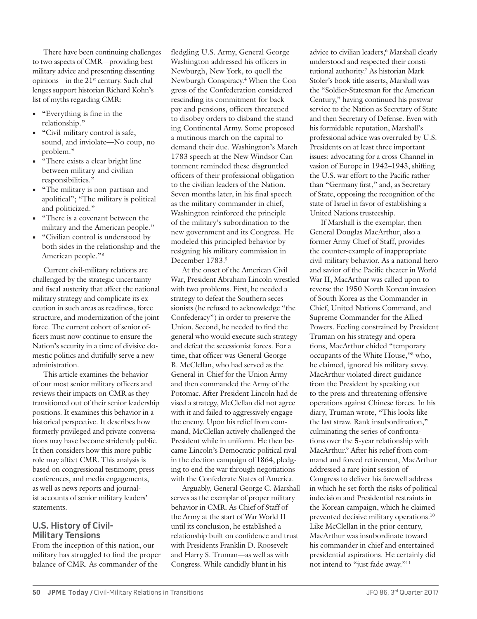There have been continuing challenges to two aspects of CMR—providing best military advice and presenting dissenting opinions—in the 21<sup>st</sup> century. Such challenges support historian Richard Kohn's list of myths regarding CMR:

- **•** "Everything is fine in the relationship."
- **•** "Civil-military control is safe, sound, and inviolate—No coup, no problem."
- **•** "There exists a clear bright line between military and civilian responsibilities."
- **•** "The military is non-partisan and apolitical"; "The military is political and politicized."
- **•** "There is a covenant between the military and the American people."
- **•** "Civilian control is understood by both sides in the relationship and the American people."3

Current civil-military relations are challenged by the strategic uncertainty and fiscal austerity that affect the national military strategy and complicate its execution in such areas as readiness, force structure, and modernization of the joint force. The current cohort of senior officers must now continue to ensure the Nation's security in a time of divisive domestic politics and dutifully serve a new administration.

This article examines the behavior of our most senior military officers and reviews their impacts on CMR as they transitioned out of their senior leadership positions. It examines this behavior in a historical perspective. It describes how formerly privileged and private conversations may have become stridently public. It then considers how this more public role may affect CMR. This analysis is based on congressional testimony, press conferences, and media engagements, as well as news reports and journalist accounts of senior military leaders' statements.

### **U.S. History of Civil-Military Tensions**

From the inception of this nation, our military has struggled to find the proper balance of CMR. As commander of the

fledgling U.S. Army, General George Washington addressed his officers in Newburgh, New York, to quell the Newburgh Conspiracy.4 When the Congress of the Confederation considered rescinding its commitment for back pay and pensions, officers threatened to disobey orders to disband the standing Continental Army. Some proposed a mutinous march on the capital to demand their due. Washington's March 1783 speech at the New Windsor Cantonment reminded these disgruntled officers of their professional obligation to the civilian leaders of the Nation. Seven months later, in his final speech as the military commander in chief, Washington reinforced the principle of the military's subordination to the new government and its Congress. He modeled this principled behavior by resigning his military commission in December 1783.5

At the onset of the American Civil War, President Abraham Lincoln wrestled with two problems. First, he needed a strategy to defeat the Southern secessionists (he refused to acknowledge "the Confederacy") in order to preserve the Union. Second, he needed to find the general who would execute such strategy and defeat the secessionist forces. For a time, that officer was General George B. McClellan, who had served as the General-in-Chief for the Union Army and then commanded the Army of the Potomac. After President Lincoln had devised a strategy, McClellan did not agree with it and failed to aggressively engage the enemy. Upon his relief from command, McClellan actively challenged the President while in uniform. He then became Lincoln's Democratic political rival in the election campaign of 1864, pledging to end the war through negotiations with the Confederate States of America.

Arguably, General George C. Marshall serves as the exemplar of proper military behavior in CMR. As Chief of Staff of the Army at the start of War World II until its conclusion, he established a relationship built on confidence and trust with Presidents Franklin D. Roosevelt and Harry S. Truman—as well as with Congress. While candidly blunt in his

advice to civilian leaders,<sup>6</sup> Marshall clearly understood and respected their constitutional authority.7 As historian Mark Stoler's book title asserts, Marshall was the "Soldier-Statesman for the American Century," having continued his postwar service to the Nation as Secretary of State and then Secretary of Defense. Even with his formidable reputation, Marshall's professional advice was overruled by U.S. Presidents on at least three important issues: advocating for a cross-Channel invasion of Europe in 1942–1943, shifting the U.S. war effort to the Pacific rather than "Germany first," and, as Secretary of State, opposing the recognition of the state of Israel in favor of establishing a United Nations trusteeship.

If Marshall is the exemplar, then General Douglas MacArthur, also a former Army Chief of Staff, provides the counter-example of inappropriate civil-military behavior. As a national hero and savior of the Pacific theater in World War II, MacArthur was called upon to reverse the 1950 North Korean invasion of South Korea as the Commander-in-Chief, United Nations Command, and Supreme Commander for the Allied Powers. Feeling constrained by President Truman on his strategy and operations, MacArthur chided "temporary occupants of the White House,"8 who, he claimed, ignored his military savvy. MacArthur violated direct guidance from the President by speaking out to the press and threatening offensive operations against Chinese forces. In his diary, Truman wrote, "This looks like the last straw. Rank insubordination," culminating the series of confrontations over the 5-year relationship with MacArthur.9 After his relief from command and forced retirement, MacArthur addressed a rare joint session of Congress to deliver his farewell address in which he set forth the risks of political indecision and Presidential restraints in the Korean campaign, which he claimed prevented decisive military operations.10 Like McClellan in the prior century, MacArthur was insubordinate toward his commander in chief and entertained presidential aspirations. He certainly did not intend to "just fade away."11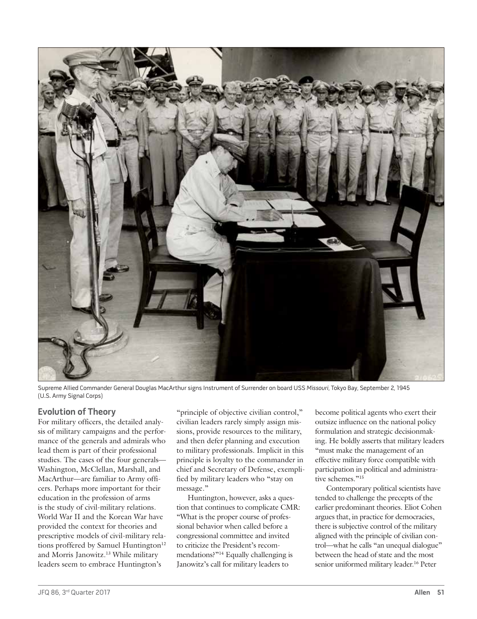

Supreme Allied Commander General Douglas MacArthur signs Instrument of Surrender on board USS Missouri, Tokyo Bay, September 2, 1945 (U.S. Army Signal Corps)

# **Evolution of Theory**

For military officers, the detailed analysis of military campaigns and the performance of the generals and admirals who lead them is part of their professional studies. The cases of the four generals— Washington, McClellan, Marshall, and MacArthur—are familiar to Army officers. Perhaps more important for their education in the profession of arms is the study of civil-military relations. World War II and the Korean War have provided the context for theories and prescriptive models of civil-military relations proffered by Samuel Huntington<sup>12</sup> and Morris Janowitz.<sup>13</sup> While military leaders seem to embrace Huntington's

"principle of objective civilian control," civilian leaders rarely simply assign missions, provide resources to the military, and then defer planning and execution to military professionals. Implicit in this principle is loyalty to the commander in chief and Secretary of Defense, exemplified by military leaders who "stay on message."

Huntington, however, asks a question that continues to complicate CMR: "What is the proper course of professional behavior when called before a congressional committee and invited to criticize the President's recommendations?"<sup>14</sup> Equally challenging is Janowitz's call for military leaders to

become political agents who exert their outsize influence on the national policy formulation and strategic decisionmaking. He boldly asserts that military leaders "must make the management of an effective military force compatible with participation in political and administrative schemes."<sup>15</sup>

Contemporary political scientists have tended to challenge the precepts of the earlier predominant theories. Eliot Cohen argues that, in practice for democracies, there is subjective control of the military aligned with the principle of civilian control—what he calls "an unequal dialogue" between the head of state and the most senior uniformed military leader.16 Peter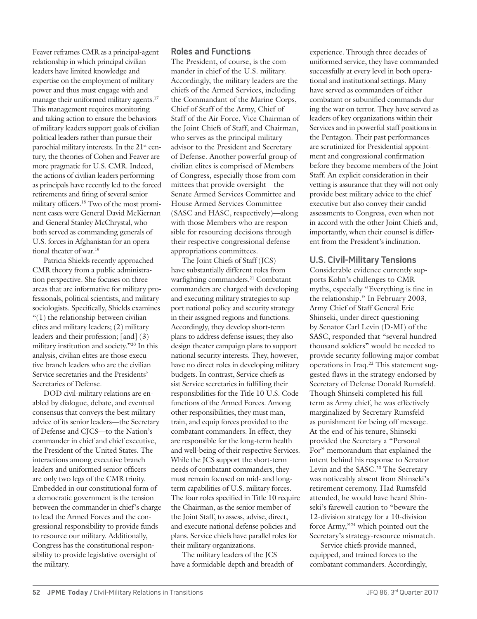Feaver reframes CMR as a principal-agent relationship in which principal civilian leaders have limited knowledge and expertise on the employment of military power and thus must engage with and manage their uniformed military agents.<sup>17</sup> This management requires monitoring and taking action to ensure the behaviors of military leaders support goals of civilian political leaders rather than pursue their parochial military interests. In the 21<sup>st</sup> century, the theories of Cohen and Feaver are more pragmatic for U.S. CMR. Indeed, the actions of civilian leaders performing as principals have recently led to the forced retirements and firing of several senior military officers.18 Two of the most prominent cases were General David McKiernan and General Stanley McChrystal, who both served as commanding generals of U.S. forces in Afghanistan for an operational theater of war.<sup>19</sup>

Patricia Shields recently approached CMR theory from a public administration perspective. She focuses on three areas that are informative for military professionals, political scientists, and military sociologists. Specifically, Shields examines  $(1)$  the relationship between civilian elites and military leaders; (2) military leaders and their profession; [and] (3) military institution and society."20 In this analysis, civilian elites are those executive branch leaders who are the civilian Service secretaries and the Presidents' Secretaries of Defense.

DOD civil-military relations are enabled by dialogue, debate, and eventual consensus that conveys the best military advice of its senior leaders—the Secretary of Defense and CJCS—to the Nation's commander in chief and chief executive, the President of the United States. The interactions among executive branch leaders and uniformed senior officers are only two legs of the CMR trinity. Embedded in our constitutional form of a democratic government is the tension between the commander in chief's charge to lead the Armed Forces and the congressional responsibility to provide funds to resource our military. Additionally, Congress has the constitutional responsibility to provide legislative oversight of the military.

#### **Roles and Functions**

The President, of course, is the commander in chief of the U.S. military. Accordingly, the military leaders are the chiefs of the Armed Services, including the Commandant of the Marine Corps, Chief of Staff of the Army, Chief of Staff of the Air Force, Vice Chairman of the Joint Chiefs of Staff, and Chairman, who serves as the principal military advisor to the President and Secretary of Defense. Another powerful group of civilian elites is comprised of Members of Congress, especially those from committees that provide oversight—the Senate Armed Services Committee and House Armed Services Committee (SASC and HASC, respectively)—along with those Members who are responsible for resourcing decisions through their respective congressional defense appropriations committees.

The Joint Chiefs of Staff (JCS) have substantially different roles from warfighting commanders.<sup>21</sup> Combatant commanders are charged with developing and executing military strategies to support national policy and security strategy in their assigned regions and functions. Accordingly, they develop short-term plans to address defense issues; they also design theater campaign plans to support national security interests. They, however, have no direct roles in developing military budgets. In contrast, Service chiefs assist Service secretaries in fulfilling their responsibilities for the Title 10 U.S. Code functions of the Armed Forces. Among other responsibilities, they must man, train, and equip forces provided to the combatant commanders. In effect, they are responsible for the long-term health and well-being of their respective Services. While the JCS support the short-term needs of combatant commanders, they must remain focused on mid- and longterm capabilities of U.S. military forces. The four roles specified in Title 10 require the Chairman, as the senior member of the Joint Staff, to assess, advise, direct, and execute national defense policies and plans. Service chiefs have parallel roles for their military organizations.

The military leaders of the JCS have a formidable depth and breadth of experience. Through three decades of uniformed service, they have commanded successfully at every level in both operational and institutional settings. Many have served as commanders of either combatant or subunified commands during the war on terror. They have served as leaders of key organizations within their Services and in powerful staff positions in the Pentagon. Their past performances are scrutinized for Presidential appointment and congressional confirmation before they become members of the Joint Staff. An explicit consideration in their vetting is assurance that they will not only provide best military advice to the chief executive but also convey their candid assessments to Congress, even when not in accord with the other Joint Chiefs and, importantly, when their counsel is different from the President's inclination.

#### **U.S. Civil-Military Tensions**

Considerable evidence currently supports Kohn's challenges to CMR myths, especially "Everything is fine in the relationship." In February 2003, Army Chief of Staff General Eric Shinseki, under direct questioning by Senator Carl Levin (D-MI) of the SASC, responded that "several hundred thousand soldiers" would be needed to provide security following major combat operations in Iraq.22 This statement suggested flaws in the strategy endorsed by Secretary of Defense Donald Rumsfeld. Though Shinseki completed his full term as Army chief, he was effectively marginalized by Secretary Rumsfeld as punishment for being off message. At the end of his tenure, Shinseki provided the Secretary a "Personal For" memorandum that explained the intent behind his response to Senator Levin and the SASC.<sup>23</sup> The Secretary was noticeably absent from Shinseki's retirement ceremony. Had Rumsfeld attended, he would have heard Shinseki's farewell caution to "beware the 12-division strategy for a 10-division force Army,"24 which pointed out the Secretary's strategy-resource mismatch.

Service chiefs provide manned, equipped, and trained forces to the combatant commanders. Accordingly,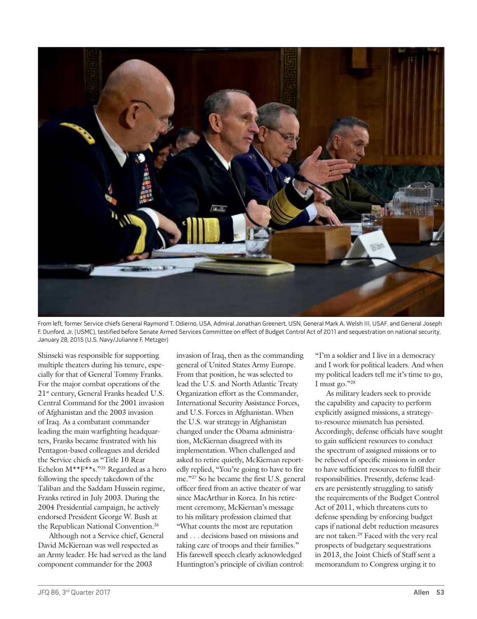

From left, former Service chiefs General Raymond T. Odierno, USA, Admiral Jonathan Greenert, USN, General Mark A. Welsh III, USAF, and General Joseph F. Dunford, Jr. (USMC), testified before Senate Armed Services Committee on effect of Budget Control Act of 2011 and sequestration on national security, January 28, 2015 (U.S. Navy/Julianne F. Metzger)

Shinseki was responsible for supporting multiple theaters during his tenure, especially for that of General Tommy Franks. For the major combat operations of the 21st century, General Franks headed U.S. Central Command for the 2001 invasion of Afghanistan and the 2003 invasion of Iraq. As a combatant commander leading the main warfighting headquarters, Franks became frustrated with his Pentagon-based colleagues and derided the Service chiefs as "Title 10 Rear Echelon M\*\*F\*\*s."25 Regarded as a hero following the speedy takedown of the Taliban and the Saddam Hussein regime, Franks retired in July 2003. During the 2004 Presidential campaign, he actively endorsed President George W. Bush at the Republican National Convention.<sup>26</sup>

Although not a Service chief, General David McKiernan was well respected as an Army leader. He had served as the land component commander for the 2003

invasion of Iraq, then as the commanding general of United States Army Europe. From that position, he was selected to lead the U.S. and North Atlantic Treaty Organization effort as the Commander, International Security Assistance Forces, and U.S. Forces in Afghanistan. When the U.S. war strategy in Afghanistan changed under the Obama administration, McKiernan disagreed with its implementation. When challenged and asked to retire quietly, McKiernan reportedly replied, "You're going to have to fire me."27 So he became the first U.S. general officer fired from an active theater of war since MacArthur in Korea. In his retirement ceremony, McKiernan's message to his military profession claimed that "What counts the most are reputation and . . . decisions based on missions and taking care of troops and their families." His farewell speech clearly acknowledged Huntington's principle of civilian control:

"I'm a soldier and I live in a democracy and I work for political leaders. And when my political leaders tell me it's time to go, I must go."28

As military leaders seek to provide the capability and capacity to perform explicitly assigned missions, a strategyto-resource mismatch has persisted. Accordingly, defense officials have sought to gain sufficient resources to conduct the spectrum of assigned missions or to be relieved of specific missions in order to have sufficient resources to fulfill their responsibilities. Presently, defense leaders are persistently struggling to satisfy the requirements of the Budget Control Act of 2011, which threatens cuts to defense spending by enforcing budget caps if national debt reduction measures are not taken.29 Faced with the very real prospects of budgetary sequestrations in 2013, the Joint Chiefs of Staff sent a memorandum to Congress urging it to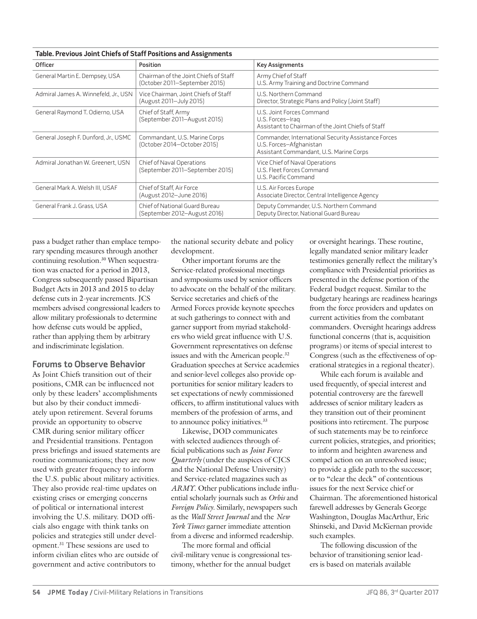| <u>rapic. Trevious Julii Chiefs of Juan Fositions and Assignments</u> |                                                                        |                                                                                                                           |
|-----------------------------------------------------------------------|------------------------------------------------------------------------|---------------------------------------------------------------------------------------------------------------------------|
| <b>Officer</b>                                                        | <b>Position</b>                                                        | <b>Key Assignments</b>                                                                                                    |
| General Martin E. Dempsey, USA                                        | Chairman of the Joint Chiefs of Staff<br>(October 2011–September 2015) | Army Chief of Staff<br>U.S. Army Training and Doctrine Command                                                            |
| Admiral James A. Winnefeld, Jr., USN                                  | Vice Chairman, Joint Chiefs of Staff<br>(August 2011-July 2015)        | U.S. Northern Command<br>Director, Strategic Plans and Policy (Joint Staff)                                               |
| General Raymond T. Odierno, USA                                       | Chief of Staff, Army<br>(September 2011-August 2015)                   | U.S. Joint Forces Command<br>U.S. Forces-Iraq<br>Assistant to Chairman of the Joint Chiefs of Staff                       |
| General Joseph F. Dunford, Jr., USMC                                  | Commandant, U.S. Marine Corps<br>(October 2014-October 2015)           | Commander, International Security Assistance Forces<br>U.S. Forces-Afghanistan<br>Assistant Commandant, U.S. Marine Corps |
| Admiral Jonathan W. Greenert, USN                                     | Chief of Naval Operations<br>(September 2011–September 2015)           | Vice Chief of Naval Operations<br>U.S. Fleet Forces Command<br>U.S. Pacific Command                                       |
| General Mark A. Welsh III, USAF                                       | Chief of Staff, Air Force<br>(August 2012-June 2016)                   | U.S. Air Forces Europe<br>Associate Director, Central Intelligence Agency                                                 |
| General Frank J. Grass, USA                                           | Chief of National Guard Bureau<br>(September 2012-August 2016)         | Deputy Commander, U.S. Northern Command<br>Deputy Director, National Guard Bureau                                         |

**Table. Previous Joint Chiefs of Staff Positions and Assignments**

pass a budget rather than emplace temporary spending measures through another continuing resolution.<sup>30</sup> When sequestration was enacted for a period in 2013, Congress subsequently passed Bipartisan Budget Acts in 2013 and 2015 to delay defense cuts in 2-year increments. JCS members advised congressional leaders to allow military professionals to determine how defense cuts would be applied, rather than applying them by arbitrary and indiscriminate legislation.

#### **Forums to Observe Behavior**

As Joint Chiefs transition out of their positions, CMR can be influenced not only by these leaders' accomplishments but also by their conduct immediately upon retirement. Several forums provide an opportunity to observe CMR during senior military officer and Presidential transitions. Pentagon press briefings and issued statements are routine communications; they are now used with greater frequency to inform the U.S. public about military activities. They also provide real-time updates on existing crises or emerging concerns of political or international interest involving the U.S. military. DOD officials also engage with think tanks on policies and strategies still under development.31 These sessions are used to inform civilian elites who are outside of government and active contributors to

the national security debate and policy development.

Other important forums are the Service-related professional meetings and symposiums used by senior officers to advocate on the behalf of the military. Service secretaries and chiefs of the Armed Forces provide keynote speeches at such gatherings to connect with and garner support from myriad stakeholders who wield great influence with U.S. Government representatives on defense issues and with the American people.32 Graduation speeches at Service academies and senior-level colleges also provide opportunities for senior military leaders to set expectations of newly commissioned officers, to affirm institutional values with members of the profession of arms, and to announce policy initiatives.<sup>33</sup>

Likewise, DOD communicates with selected audiences through official publications such as *Joint Force Quarterly* (under the auspices of CJCS and the National Defense University) and Service-related magazines such as *ARMY*. Other publications include influential scholarly journals such as *Orbis* and *Foreign Policy*. Similarly, newspapers such as the *Wall Street Journal* and the *New York Times* garner immediate attention from a diverse and informed readership.

The more formal and official civil-military venue is congressional testimony, whether for the annual budget or oversight hearings. These routine, legally mandated senior military leader testimonies generally reflect the military's compliance with Presidential priorities as presented in the defense portion of the Federal budget request. Similar to the budgetary hearings are readiness hearings from the force providers and updates on current activities from the combatant commanders. Oversight hearings address functional concerns (that is, acquisition programs) or items of special interest to Congress (such as the effectiveness of operational strategies in a regional theater).

While each forum is available and used frequently, of special interest and potential controversy are the farewell addresses of senior military leaders as they transition out of their prominent positions into retirement. The purpose of such statements may be to reinforce current policies, strategies, and priorities; to inform and heighten awareness and compel action on an unresolved issue; to provide a glide path to the successor; or to "clear the deck" of contentious issues for the next Service chief or Chairman. The aforementioned historical farewell addresses by Generals George Washington, Douglas MacArthur, Eric Shinseki, and David McKiernan provide such examples.

The following discussion of the behavior of transitioning senior leaders is based on materials available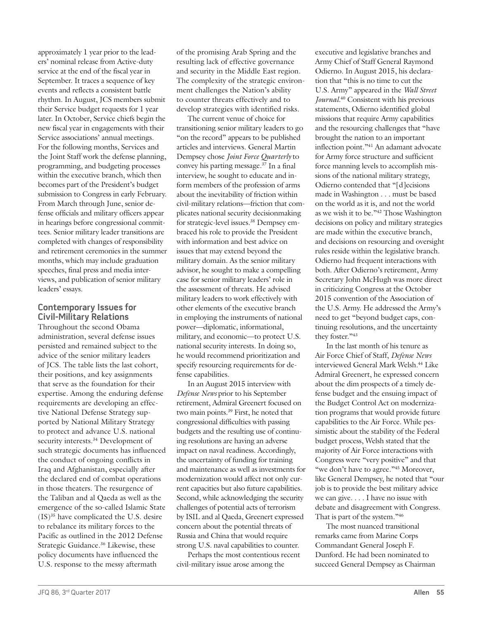approximately 1 year prior to the leaders' nominal release from Active-duty service at the end of the fiscal year in September. It traces a sequence of key events and reflects a consistent battle rhythm. In August, JCS members submit their Service budget requests for 1 year later. In October, Service chiefs begin the new fiscal year in engagements with their Service associations' annual meetings. For the following months, Services and the Joint Staff work the defense planning, programming, and budgeting processes within the executive branch, which then becomes part of the President's budget submission to Congress in early February. From March through June, senior defense officials and military officers appear in hearings before congressional committees. Senior military leader transitions are completed with changes of responsibility and retirement ceremonies in the summer months, which may include graduation speeches, final press and media interviews, and publication of senior military leaders' essays.

### **Contemporary Issues for Civil-Military Relations**

Throughout the second Obama administration, several defense issues persisted and remained subject to the advice of the senior military leaders of JCS. The table lists the last cohort, their positions, and key assignments that serve as the foundation for their expertise. Among the enduring defense requirements are developing an effective National Defense Strategy supported by National Military Strategy to protect and advance U.S. national security interests.<sup>34</sup> Development of such strategic documents has influenced the conduct of ongoing conflicts in Iraq and Afghanistan, especially after the declared end of combat operations in those theaters. The resurgence of the Taliban and al Qaeda as well as the emergence of the so-called Islamic State (IS)35 have complicated the U.S. desire to rebalance its military forces to the Pacific as outlined in the 2012 Defense Strategic Guidance.36 Likewise, these policy documents have influenced the U.S. response to the messy aftermath

of the promising Arab Spring and the resulting lack of effective governance and security in the Middle East region. The complexity of the strategic environment challenges the Nation's ability to counter threats effectively and to develop strategies with identified risks.

The current venue of choice for transitioning senior military leaders to go "on the record" appears to be published articles and interviews. General Martin Dempsey chose *Joint Force Quarterly* to convey his parting message.37 In a final interview, he sought to educate and inform members of the profession of arms about the inevitability of friction within civil-military relations—friction that complicates national security decisionmaking for strategic-level issues.<sup>38</sup> Dempsey embraced his role to provide the President with information and best advice on issues that may extend beyond the military domain. As the senior military advisor, he sought to make a compelling case for senior military leaders' role in the assessment of threats. He advised military leaders to work effectively with other elements of the executive branch in employing the instruments of national power—diplomatic, informational, military, and economic—to protect U.S. national security interests. In doing so, he would recommend prioritization and specify resourcing requirements for defense capabilities.

In an August 2015 interview with *Defense News* prior to his September retirement, Admiral Greenert focused on two main points.39 First, he noted that congressional difficulties with passing budgets and the resulting use of continuing resolutions are having an adverse impact on naval readiness. Accordingly, the uncertainty of funding for training and maintenance as well as investments for modernization would affect not only current capacities but also future capabilities. Second, while acknowledging the security challenges of potential acts of terrorism by ISIL and al Qaeda, Greenert expressed concern about the potential threats of Russia and China that would require strong U.S. naval capabilities to counter.

Perhaps the most contentious recent civil-military issue arose among the

executive and legislative branches and Army Chief of Staff General Raymond Odierno. In August 2015, his declaration that "this is no time to cut the U.S. Army" appeared in the *Wall Street Journal.*40 Consistent with his previous statements, Odierno identified global missions that require Army capabilities and the resourcing challenges that "have brought the nation to an important inflection point."41 An adamant advocate for Army force structure and sufficient force manning levels to accomplish missions of the national military strategy, Odierno contended that "[d]ecisions made in Washington . . . must be based on the world as it is, and not the world as we wish it to be."42 Those Washington decisions on policy and military strategies are made within the executive branch, and decisions on resourcing and oversight rules reside within the legislative branch. Odierno had frequent interactions with both. After Odierno's retirement, Army Secretary John McHugh was more direct in criticizing Congress at the October 2015 convention of the Association of the U.S. Army. He addressed the Army's need to get "beyond budget caps, continuing resolutions, and the uncertainty they foster."43

In the last month of his tenure as Air Force Chief of Staff, *Defense News* interviewed General Mark Welsh.44 Like Admiral Greenert, he expressed concern about the dim prospects of a timely defense budget and the ensuing impact of the Budget Control Act on modernization programs that would provide future capabilities to the Air Force. While pessimistic about the stability of the Federal budget process, Welsh stated that the majority of Air Force interactions with Congress were "very positive" and that "we don't have to agree."<sup>45</sup> Moreover, like General Dempsey, he noted that "our job is to provide the best military advice we can give. . . . I have no issue with debate and disagreement with Congress. That is part of the system."46

The most nuanced transitional remarks came from Marine Corps Commandant General Joseph F. Dunford. He had been nominated to succeed General Dempsey as Chairman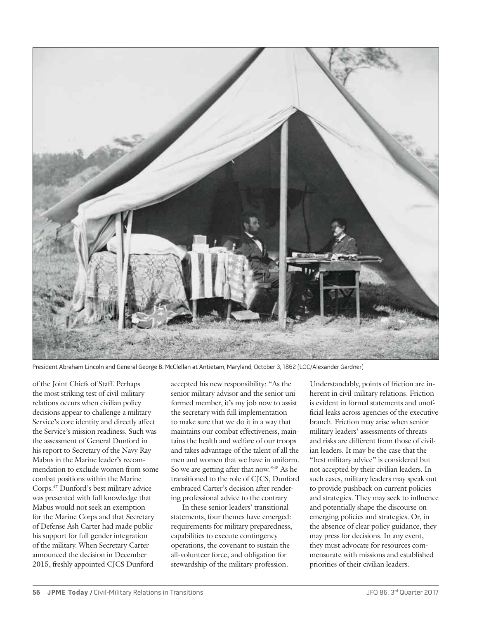

President Abraham Lincoln and General George B. McClellan at Antietam, Maryland, October 3, 1862 (LOC/Alexander Gardner)

of the Joint Chiefs of Staff. Perhaps the most striking test of civil-military relations occurs when civilian policy decisions appear to challenge a military Service's core identity and directly affect the Service's mission readiness. Such was the assessment of General Dunford in his report to Secretary of the Navy Ray Mabus in the Marine leader's recommendation to exclude women from some combat positions within the Marine Corps.47 Dunford's best military advice was presented with full knowledge that Mabus would not seek an exemption for the Marine Corps and that Secretary of Defense Ash Carter had made public his support for full gender integration of the military. When Secretary Carter announced the decision in December 2015, freshly appointed CJCS Dunford

accepted his new responsibility: "As the senior military advisor and the senior uniformed member, it's my job now to assist the secretary with full implementation to make sure that we do it in a way that maintains our combat effectiveness, maintains the health and welfare of our troops and takes advantage of the talent of all the men and women that we have in uniform. So we are getting after that now."48 As he transitioned to the role of CJCS, Dunford embraced Carter's decision after rendering professional advice to the contrary

In these senior leaders' transitional statements, four themes have emerged: requirements for military preparedness, capabilities to execute contingency operations, the covenant to sustain the all-volunteer force, and obligation for stewardship of the military profession.

Understandably, points of friction are inherent in civil-military relations. Friction is evident in formal statements and unofficial leaks across agencies of the executive branch. Friction may arise when senior military leaders' assessments of threats and risks are different from those of civilian leaders. It may be the case that the "best military advice" is considered but not accepted by their civilian leaders. In such cases, military leaders may speak out to provide pushback on current policies and strategies. They may seek to influence and potentially shape the discourse on emerging policies and strategies. Or, in the absence of clear policy guidance, they may press for decisions. In any event, they must advocate for resources commensurate with missions and established priorities of their civilian leaders.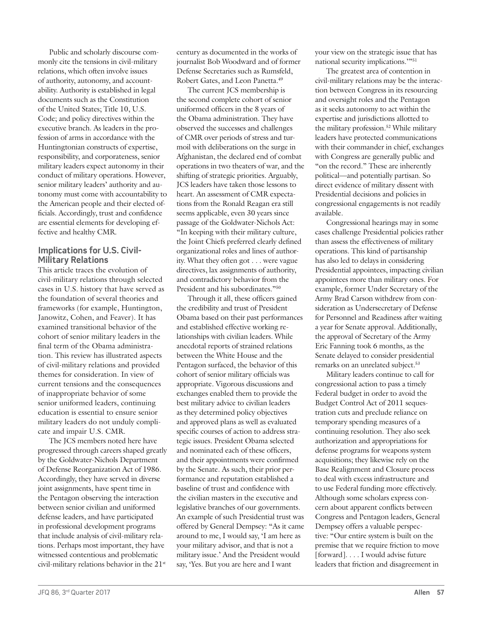Public and scholarly discourse commonly cite the tensions in civil-military relations, which often involve issues of authority, autonomy, and accountability. Authority is established in legal documents such as the Constitution of the United States; Title 10, U.S. Code; and policy directives within the executive branch. As leaders in the profession of arms in accordance with the Huntingtonian constructs of expertise, responsibility, and corporateness, senior military leaders expect autonomy in their conduct of military operations. However, senior military leaders' authority and autonomy must come with accountability to the American people and their elected officials. Accordingly, trust and confidence are essential elements for developing effective and healthy CMR.

# **Implications for U.S. Civil-Military Relations**

This article traces the evolution of civil-military relations through selected cases in U.S. history that have served as the foundation of several theories and frameworks (for example, Huntington, Janowitz, Cohen, and Feaver). It has examined transitional behavior of the cohort of senior military leaders in the final term of the Obama administration. This review has illustrated aspects of civil-military relations and provided themes for consideration. In view of current tensions and the consequences of inappropriate behavior of some senior uniformed leaders, continuing education is essential to ensure senior military leaders do not unduly complicate and impair U.S. CMR.

The JCS members noted here have progressed through careers shaped greatly by the Goldwater-Nichols Department of Defense Reorganization Act of 1986. Accordingly, they have served in diverse joint assignments, have spent time in the Pentagon observing the interaction between senior civilian and uniformed defense leaders, and have participated in professional development programs that include analysis of civil-military relations. Perhaps most important, they have witnessed contentious and problematic civil-military relations behavior in the 21st

century as documented in the works of journalist Bob Woodward and of former Defense Secretaries such as Rumsfeld, Robert Gates, and Leon Panetta.49

The current JCS membership is the second complete cohort of senior uniformed officers in the 8 years of the Obama administration. They have observed the successes and challenges of CMR over periods of stress and turmoil with deliberations on the surge in Afghanistan, the declared end of combat operations in two theaters of war, and the shifting of strategic priorities. Arguably, JCS leaders have taken those lessons to heart. An assessment of CMR expectations from the Ronald Reagan era still seems applicable, even 30 years since passage of the Goldwater-Nichols Act: "In keeping with their military culture, the Joint Chiefs preferred clearly defined organizational roles and lines of authority. What they often got . . . were vague directives, lax assignments of authority, and contradictory behavior from the President and his subordinates."<sup>50</sup>

Through it all, these officers gained the credibility and trust of President Obama based on their past performances and established effective working relationships with civilian leaders. While anecdotal reports of strained relations between the White House and the Pentagon surfaced, the behavior of this cohort of senior military officials was appropriate. Vigorous discussions and exchanges enabled them to provide the best military advice to civilian leaders as they determined policy objectives and approved plans as well as evaluated specific courses of action to address strategic issues. President Obama selected and nominated each of these officers, and their appointments were confirmed by the Senate. As such, their prior performance and reputation established a baseline of trust and confidence with the civilian masters in the executive and legislative branches of our governments. An example of such Presidential trust was offered by General Dempsey: "As it came around to me, I would say, 'I am here as your military advisor, and that is not a military issue.' And the President would say, 'Yes. But you are here and I want

your view on the strategic issue that has national security implications.'"51

The greatest area of contention in civil-military relations may be the interaction between Congress in its resourcing and oversight roles and the Pentagon as it seeks autonomy to act within the expertise and jurisdictions allotted to the military profession.52 While military leaders have protected communications with their commander in chief, exchanges with Congress are generally public and "on the record." These are inherently political—and potentially partisan. So direct evidence of military dissent with Presidential decisions and policies in congressional engagements is not readily available.

Congressional hearings may in some cases challenge Presidential policies rather than assess the effectiveness of military operations. This kind of partisanship has also led to delays in considering Presidential appointees, impacting civilian appointees more than military ones. For example, former Under Secretary of the Army Brad Carson withdrew from consideration as Undersecretary of Defense for Personnel and Readiness after waiting a year for Senate approval. Additionally, the approval of Secretary of the Army Eric Fanning took 6 months, as the Senate delayed to consider presidential remarks on an unrelated subject.<sup>53</sup>

Military leaders continue to call for congressional action to pass a timely Federal budget in order to avoid the Budget Control Act of 2011 sequestration cuts and preclude reliance on temporary spending measures of a continuing resolution. They also seek authorization and appropriations for defense programs for weapons system acquisitions; they likewise rely on the Base Realignment and Closure process to deal with excess infrastructure and to use Federal funding more effectively. Although some scholars express concern about apparent conflicts between Congress and Pentagon leaders, General Dempsey offers a valuable perspective: "Our entire system is built on the premise that we require friction to move [forward]. . . . I would advise future leaders that friction and disagreement in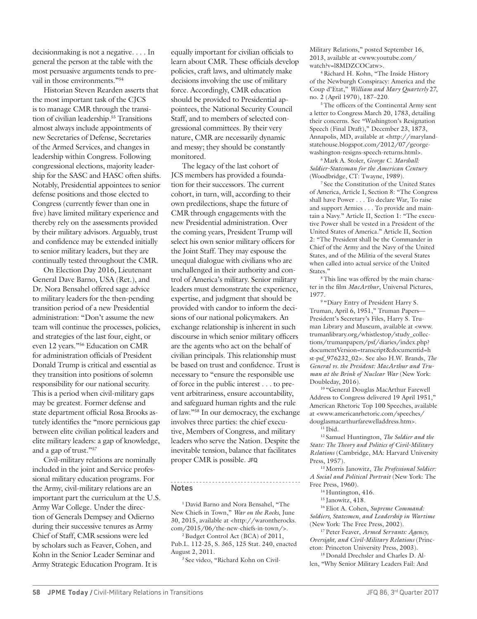decisionmaking is not a negative. . . . In general the person at the table with the most persuasive arguments tends to prevail in those environments."<sup>54</sup>

Historian Steven Rearden asserts that the most important task of the CJCS is to manage CMR through the transition of civilian leadership.55 Transitions almost always include appointments of new Secretaries of Defense, Secretaries of the Armed Services, and changes in leadership within Congress. Following congressional elections, majority leadership for the SASC and HASC often shifts. Notably, Presidential appointees to senior defense positions and those elected to Congress (currently fewer than one in five) have limited military experience and thereby rely on the assessments provided by their military advisors. Arguably, trust and confidence may be extended initially to senior military leaders, but they are continually tested throughout the CMR.

On Election Day 2016, Lieutenant General Dave Barno, USA (Ret.), and Dr. Nora Bensahel offered sage advice to military leaders for the then-pending transition period of a new Presidential administration: "Don't assume the new team will continue the processes, policies, and strategies of the last four, eight, or even 12 years."56 Education on CMR for administration officials of President Donald Trump is critical and essential as they transition into positions of solemn responsibility for our national security. This is a period when civil-military gaps may be greatest. Former defense and state department official Rosa Brooks astutely identifies the "more pernicious gap between elite civilian political leaders and elite military leaders: a gap of knowledge, and a gap of trust."57

Civil-military relations are nominally included in the joint and Service professional military education programs. For the Army, civil-military relations are an important part the curriculum at the U.S. Army War College. Under the direction of Generals Dempsey and Odierno during their successive tenures as Army Chief of Staff, CMR sessions were led by scholars such as Feaver, Cohen, and Kohn in the Senior Leader Seminar and Army Strategic Education Program. It is

equally important for civilian officials to learn about CMR. These officials develop policies, craft laws, and ultimately make decisions involving the use of military force. Accordingly, CMR education should be provided to Presidential appointees, the National Security Council Staff, and to members of selected congressional committees. By their very nature, CMR are necessarily dynamic and messy; they should be constantly monitored.

The legacy of the last cohort of JCS members has provided a foundation for their successors. The current cohort, in turn, will, according to their own predilections, shape the future of CMR through engagements with the new Presidential administration. Over the coming years, President Trump will select his own senior military officers for the Joint Staff. They may espouse the unequal dialogue with civilians who are unchallenged in their authority and control of America's military. Senior military leaders must demonstrate the experience, expertise, and judgment that should be provided with candor to inform the decisions of our national policymakers. An exchange relationship is inherent in such discourse in which senior military officers are the agents who act on the behalf of civilian principals. This relationship must be based on trust and confidence. Trust is necessary to "ensure the responsible use of force in the public interest . . . to prevent arbitrariness, ensure accountability, and safeguard human rights and the rule of law."58 In our democracy, the exchange involves three parties: the chief executive, Members of Congress, and military leaders who serve the Nation. Despite the inevitable tension, balance that facilitates proper CMR is possible. **JFQ**

#### **Notes**

1 David Barno and Nora Bensahel, "The New Chiefs in Town," *War on the Rocks*, June 30, 2015, available at <http://warontherocks. com/2015/06/the-new-chiefs-in-town/>.

<sup>2</sup> Budget Control Act (BCA) of 2011, Pub.L. 112-25, S. 365, 125 Stat. 240, enacted August 2, 2011.

3 See video, "Richard Kohn on Civil-

Military Relations," posted September 16, 2013, available at <www.youtube.com/ watch?v=l8MDZCOCatw>.

4 Richard H. Kohn, "The Inside History of the Newburgh Conspiracy: America and the Coup d'Etat," *William and Mary Quarterly* 27, no. 2 (April 1970), 187–220.

5 The officers of the Continental Army sent a letter to Congress March 20, 1783, detailing their concerns. See "Washington's Resignation Speech (Final Draft)," December 23, 1873, Annapolis, MD, available at <http://marylandstatehouse.blogspot.com/2012/07/georgewashington-resigns-speech-returns.html>.

6 Mark A. Stoler, *George C. Marshall: Soldier-Statesman for the American Century*  (Woodbridge, CT: Twayne, 1989).

<sup>7</sup> See the Constitution of the United States of America, Article I, Section 8: "The Congress shall have Power . . . To declare War, To raise and support Armies . . . To provide and maintain a Navy." Article II, Section 1: "The executive Power shall be vested in a President of the United States of America." Article II, Section 2: "The President shall be the Commander in Chief of the Army and the Navy of the United States, and of the Militia of the several States when called into actual service of the United States."

8 This line was offered by the main character in the film *MacArthur*, Universal Pictures, 1977.

9 "Diary Entry of President Harry S. Truman, April 6, 1951," Truman Papers— President's Secretary's Files, Harry S. Truman Library and Museum, available at <www. trumanlibrary.org/whistlestop/study\_collections/trumanpapers/psf/diaries/index.php? documentVersion=transcript&documentid=h st-psf\_976232\_02>. See also H.W. Brands, *The General vs. the President: MacArthur and Truman at the Brink of Nuclear War* (New York: Doubleday, 2016).

10 "General Douglas MacArthur Farewell Address to Congress delivered 19 April 1951," American Rhetoric Top 100 Speeches, available at <www.americanrhetoric.com/speeches/ douglasmacarthurfarewelladdress.htm>.

<sup>11</sup> Ibid.

12 Samuel Huntington, *The Soldier and the State: The Theory and Politics of Civil-Military Relations* (Cambridge, MA: Harvard University Press, 1957).

13 Morris Janowitz, *The Professional Soldier: A Social and Political Portrait* (New York: The Free Press, 1960).

<sup>14</sup> Huntington, 416.

<sup>15</sup> Janowitz, 418.

16 Eliot A. Cohen, *Supreme Command: Soldiers, Statesmen, and Leadership in Wartime* (New York: The Free Press, 2002).

17 Peter Feaver, *Armed Servants: Agency, Oversight, and Civil-Military Relations* (Princeton: Princeton University Press, 2003).

18 Donald Drechsler and Charles D. Allen, "Why Senior Military Leaders Fail: And